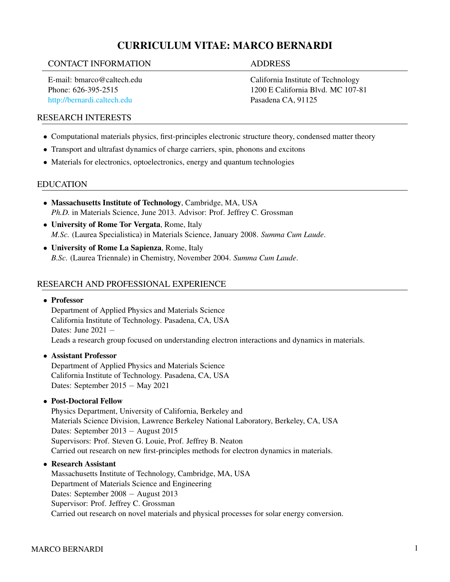# CURRICULUM VITAE: MARCO BERNARDI

#### CONTACT INFORMATION ADDRESS

E-mail: bmarco@caltech.edu Phone: 626-395-2515 <http://bernardi.caltech.edu>

California Institute of Technology 1200 E California Blvd. MC 107-81 Pasadena CA, 91125

# RESEARCH INTERESTS

- Computational materials physics, first-principles electronic structure theory, condensed matter theory
- Transport and ultrafast dynamics of charge carriers, spin, phonons and excitons
- Materials for electronics, optoelectronics, energy and quantum technologies

# EDUCATION

- Massachusetts Institute of Technology, Cambridge, MA, USA *Ph.D.* in Materials Science, June 2013. Advisor: Prof. Jeffrey C. Grossman
- University of Rome Tor Vergata, Rome, Italy *M.Sc.* (Laurea Specialistica) in Materials Science, January 2008. *Summa Cum Laude*.
- University of Rome La Sapienza, Rome, Italy *B.Sc.* (Laurea Triennale) in Chemistry, November 2004. *Summa Cum Laude*.

### RESEARCH AND PROFESSIONAL EXPERIENCE

#### • Professor

Department of Applied Physics and Materials Science California Institute of Technology. Pasadena, CA, USA Dates: June 2021 – Leads a research group focused on understanding electron interactions and dynamics in materials.

#### • Assistant Professor

Department of Applied Physics and Materials Science California Institute of Technology. Pasadena, CA, USA Dates: September 2015 − May 2021

#### • Post-Doctoral Fellow

Physics Department, University of California, Berkeley and Materials Science Division, Lawrence Berkeley National Laboratory, Berkeley, CA, USA Dates: September 2013 − August 2015 Supervisors: Prof. Steven G. Louie, Prof. Jeffrey B. Neaton Carried out research on new first-principles methods for electron dynamics in materials.

#### • Research Assistant

Massachusetts Institute of Technology, Cambridge, MA, USA Department of Materials Science and Engineering Dates: September 2008 − August 2013 Supervisor: Prof. Jeffrey C. Grossman Carried out research on novel materials and physical processes for solar energy conversion.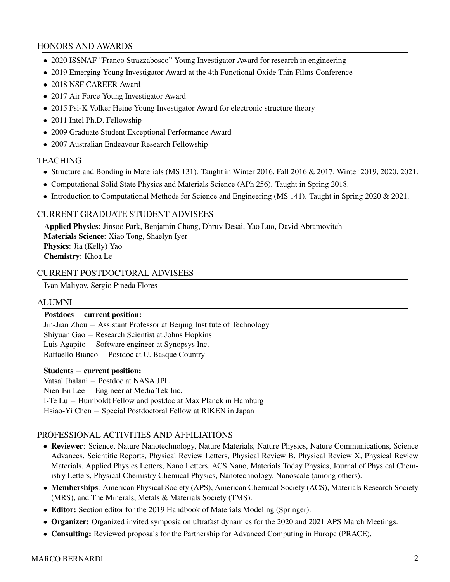#### HONORS AND AWARDS

- 2020 ISSNAF "Franco Strazzabosco" Young Investigator Award for research in engineering
- 2019 Emerging Young Investigator Award at the 4th Functional Oxide Thin Films Conference
- 2018 NSF CAREER Award
- 2017 Air Force Young Investigator Award
- 2015 Psi-K Volker Heine Young Investigator Award for electronic structure theory
- 2011 Intel Ph.D. Fellowship
- 2009 Graduate Student Exceptional Performance Award
- 2007 Australian Endeavour Research Fellowship

#### **TEACHING**

- Structure and Bonding in Materials (MS 131). Taught in Winter 2016, Fall 2016 & 2017, Winter 2019, 2020, 2021.
- Computational Solid State Physics and Materials Science (APh 256). Taught in Spring 2018.
- Introduction to Computational Methods for Science and Engineering (MS 141). Taught in Spring 2020 & 2021.

# CURRENT GRADUATE STUDENT ADVISEES

Applied Physics: Jinsoo Park, Benjamin Chang, Dhruv Desai, Yao Luo, David Abramovitch Materials Science: Xiao Tong, Shaelyn Iyer Physics: Jia (Kelly) Yao Chemistry: Khoa Le

### CURRENT POSTDOCTORAL ADVISEES

Ivan Maliyov, Sergio Pineda Flores

#### ALUMNI

#### Postdocs − current position:

Jin-Jian Zhou − Assistant Professor at Beijing Institute of Technology

Shiyuan Gao − Research Scientist at Johns Hopkins

Luis Agapito − Software engineer at Synopsys Inc.

Raffaello Bianco − Postdoc at U. Basque Country

#### Students − current position:

Vatsal Jhalani − Postdoc at NASA JPL Nien-En Lee − Engineer at Media Tek Inc. I-Te Lu − Humboldt Fellow and postdoc at Max Planck in Hamburg Hsiao-Yi Chen – Special Postdoctoral Fellow at RIKEN in Japan

#### PROFESSIONAL ACTIVITIES AND AFFILIATIONS

- Reviewer: Science, Nature Nanotechnology, Nature Materials, Nature Physics, Nature Communications, Science Advances, Scientific Reports, Physical Review Letters, Physical Review B, Physical Review X, Physical Review Materials, Applied Physics Letters, Nano Letters, ACS Nano, Materials Today Physics, Journal of Physical Chemistry Letters, Physical Chemistry Chemical Physics, Nanotechnology, Nanoscale (among others).
- Memberships: American Physical Society (APS), American Chemical Society (ACS), Materials Research Society (MRS), and The Minerals, Metals & Materials Society (TMS).
- Editor: Section editor for the 2019 Handbook of Materials Modeling (Springer).
- Organizer: Organized invited symposia on ultrafast dynamics for the 2020 and 2021 APS March Meetings.
- Consulting: Reviewed proposals for the Partnership for Advanced Computing in Europe (PRACE).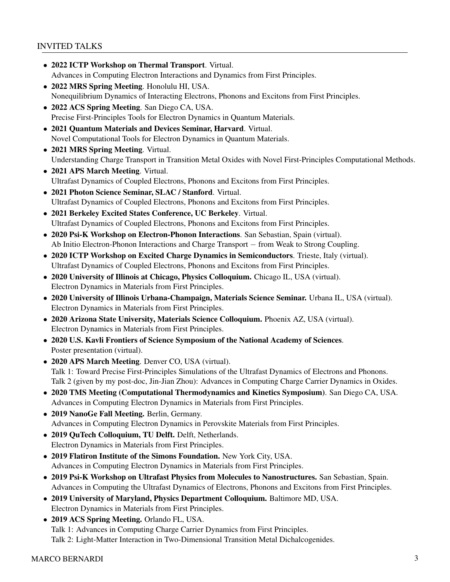## INVITED TALKS

- 2022 ICTP Workshop on Thermal Transport. Virtual. Advances in Computing Electron Interactions and Dynamics from First Principles.
- 2022 MRS Spring Meeting. Honolulu HI, USA. Nonequilibrium Dynamics of Interacting Electrons, Phonons and Excitons from First Principles.
- 2022 ACS Spring Meeting. San Diego CA, USA. Precise First-Principles Tools for Electron Dynamics in Quantum Materials.
- 2021 Quantum Materials and Devices Seminar, Harvard. Virtual. Novel Computational Tools for Electron Dynamics in Quantum Materials.
- 2021 MRS Spring Meeting. Virtual. Understanding Charge Transport in Transition Metal Oxides with Novel First-Principles Computational Methods.
- 2021 APS March Meeting. Virtual. Ultrafast Dynamics of Coupled Electrons, Phonons and Excitons from First Principles.
- 2021 Photon Science Seminar, SLAC / Stanford. Virtual. Ultrafast Dynamics of Coupled Electrons, Phonons and Excitons from First Principles.
- 2021 Berkeley Excited States Conference, UC Berkeley. Virtual. Ultrafast Dynamics of Coupled Electrons, Phonons and Excitons from First Principles.
- 2020 Psi-K Workshop on Electron-Phonon Interactions. San Sebastian, Spain (virtual). Ab Initio Electron-Phonon Interactions and Charge Transport − from Weak to Strong Coupling.
- 2020 ICTP Workshop on Excited Charge Dynamics in Semiconductors. Trieste, Italy (virtual). Ultrafast Dynamics of Coupled Electrons, Phonons and Excitons from First Principles.
- 2020 University of Illinois at Chicago, Physics Colloquium. Chicago IL, USA (virtual). Electron Dynamics in Materials from First Principles.
- 2020 University of Illinois Urbana-Champaign, Materials Science Seminar. Urbana IL, USA (virtual). Electron Dynamics in Materials from First Principles.
- 2020 Arizona State University, Materials Science Colloquium. Phoenix AZ, USA (virtual). Electron Dynamics in Materials from First Principles.
- 2020 U.S. Kavli Frontiers of Science Symposium of the National Academy of Sciences. Poster presentation (virtual).
- 2020 APS March Meeting. Denver CO, USA (virtual). Talk 1: Toward Precise First-Principles Simulations of the Ultrafast Dynamics of Electrons and Phonons. Talk 2 (given by my post-doc, Jin-Jian Zhou): Advances in Computing Charge Carrier Dynamics in Oxides.
- 2020 TMS Meeting (Computational Thermodynamics and Kinetics Symposium). San Diego CA, USA. Advances in Computing Electron Dynamics in Materials from First Principles.
- 2019 NanoGe Fall Meeting. Berlin, Germany. Advances in Computing Electron Dynamics in Perovskite Materials from First Principles.
- 2019 QuTech Colloquium, TU Delft. Delft, Netherlands. Electron Dynamics in Materials from First Principles.
- 2019 Flatiron Institute of the Simons Foundation. New York City, USA. Advances in Computing Electron Dynamics in Materials from First Principles.
- 2019 Psi-K Workshop on Ultrafast Physics from Molecules to Nanostructures. San Sebastian, Spain. Advances in Computing the Ultrafast Dynamics of Electrons, Phonons and Excitons from First Principles.
- 2019 University of Maryland, Physics Department Colloquium. Baltimore MD, USA. Electron Dynamics in Materials from First Principles.
- 2019 ACS Spring Meeting. Orlando FL, USA. Talk 1: Advances in Computing Charge Carrier Dynamics from First Principles. Talk 2: Light-Matter Interaction in Two-Dimensional Transition Metal Dichalcogenides.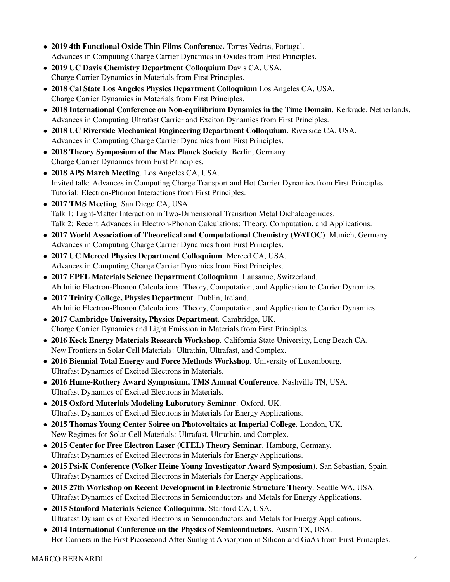- 2019 4th Functional Oxide Thin Films Conference. Torres Vedras, Portugal. Advances in Computing Charge Carrier Dynamics in Oxides from First Principles.
- 2019 UC Davis Chemistry Department Colloquium Davis CA, USA. Charge Carrier Dynamics in Materials from First Principles.
- 2018 Cal State Los Angeles Physics Department Colloquium Los Angeles CA, USA. Charge Carrier Dynamics in Materials from First Principles.
- 2018 International Conference on Non-equilibrium Dynamics in the Time Domain. Kerkrade, Netherlands. Advances in Computing Ultrafast Carrier and Exciton Dynamics from First Principles.
- 2018 UC Riverside Mechanical Engineering Department Colloquium. Riverside CA, USA. Advances in Computing Charge Carrier Dynamics from First Principles.
- 2018 Theory Symposium of the Max Planck Society. Berlin, Germany. Charge Carrier Dynamics from First Principles.
- 2018 APS March Meeting. Los Angeles CA, USA. Invited talk: Advances in Computing Charge Transport and Hot Carrier Dynamics from First Principles. Tutorial: Electron-Phonon Interactions from First Principles.
- 2017 TMS Meeting. San Diego CA, USA. Talk 1: Light-Matter Interaction in Two-Dimensional Transition Metal Dichalcogenides. Talk 2: Recent Advances in Electron-Phonon Calculations: Theory, Computation, and Applications.
- 2017 World Association of Theoretical and Computational Chemistry (WATOC). Munich, Germany. Advances in Computing Charge Carrier Dynamics from First Principles.
- 2017 UC Merced Physics Department Colloquium. Merced CA, USA. Advances in Computing Charge Carrier Dynamics from First Principles.
- 2017 EPFL Materials Science Department Colloquium. Lausanne, Switzerland. Ab Initio Electron-Phonon Calculations: Theory, Computation, and Application to Carrier Dynamics.
- 2017 Trinity College, Physics Department. Dublin, Ireland. Ab Initio Electron-Phonon Calculations: Theory, Computation, and Application to Carrier Dynamics.
- 2017 Cambridge University, Physics Department. Cambridge, UK. Charge Carrier Dynamics and Light Emission in Materials from First Principles.
- 2016 Keck Energy Materials Research Workshop. California State University, Long Beach CA. New Frontiers in Solar Cell Materials: Ultrathin, Ultrafast, and Complex.
- 2016 Biennial Total Energy and Force Methods Workshop. University of Luxembourg. Ultrafast Dynamics of Excited Electrons in Materials.
- 2016 Hume-Rothery Award Symposium, TMS Annual Conference. Nashville TN, USA. Ultrafast Dynamics of Excited Electrons in Materials.
- 2015 Oxford Materials Modeling Laboratory Seminar. Oxford, UK. Ultrafast Dynamics of Excited Electrons in Materials for Energy Applications.
- 2015 Thomas Young Center Soiree on Photovoltaics at Imperial College. London, UK. New Regimes for Solar Cell Materials: Ultrafast, Ultrathin, and Complex.
- 2015 Center for Free Electron Laser (CFEL) Theory Seminar. Hamburg, Germany. Ultrafast Dynamics of Excited Electrons in Materials for Energy Applications.
- 2015 Psi-K Conference (Volker Heine Young Investigator Award Symposium). San Sebastian, Spain. Ultrafast Dynamics of Excited Electrons in Materials for Energy Applications.
- 2015 27th Workshop on Recent Development in Electronic Structure Theory. Seattle WA, USA. Ultrafast Dynamics of Excited Electrons in Semiconductors and Metals for Energy Applications.
- 2015 Stanford Materials Science Colloquium. Stanford CA, USA. Ultrafast Dynamics of Excited Electrons in Semiconductors and Metals for Energy Applications.
- 2014 International Conference on the Physics of Semiconductors. Austin TX, USA. Hot Carriers in the First Picosecond After Sunlight Absorption in Silicon and GaAs from First-Principles.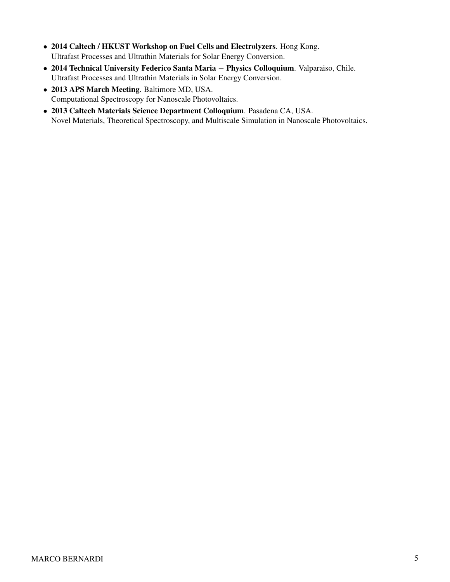- 2014 Caltech / HKUST Workshop on Fuel Cells and Electrolyzers. Hong Kong. Ultrafast Processes and Ultrathin Materials for Solar Energy Conversion.
- 2014 Technical University Federico Santa Maria − Physics Colloquium. Valparaiso, Chile. Ultrafast Processes and Ultrathin Materials in Solar Energy Conversion.
- 2013 APS March Meeting. Baltimore MD, USA. Computational Spectroscopy for Nanoscale Photovoltaics.
- 2013 Caltech Materials Science Department Colloquium. Pasadena CA, USA. Novel Materials, Theoretical Spectroscopy, and Multiscale Simulation in Nanoscale Photovoltaics.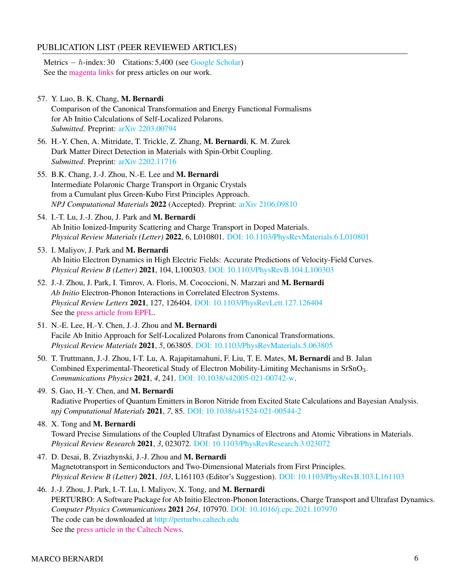# PUBLICATION LIST (PEER REVIEWED ARTICLES)

Metrics  $- h$ -index: 30 Citations: 5,400 (see [Google Scholar\)](https://scholar.google.com/citations?user=-0P8dHAAAAAJ&hl=en) See the magenta links for press articles on our work.

57. Y. Luo, B. K. Chang, M. Bernardi

Comparison of the Canonical Transformation and Energy Functional Formalisms for Ab Initio Calculations of Self-Localized Polarons. *Submitted*. Preprint: [arXiv 2203.00794](https://arxiv.org/abs/2203.00794)

- 56. H.-Y. Chen, A. Mitridate, T. Trickle, Z. Zhang, M. Bernardi, K. M. Zurek Dark Matter Direct Detection in Materials with Spin-Orbit Coupling. *Submitted*. Preprint: [arXiv 2202.11716](https://arxiv.org/abs/2202.11716)
- 55. B.K. Chang, J.-J. Zhou, N.-E. Lee and M. Bernardi Intermediate Polaronic Charge Transport in Organic Crystals from a Cumulant plus Green-Kubo First Principles Approach. *NPJ Computational Materials* 2022 (Accepted). Preprint: [arXiv 2106.09810](https://arxiv.org/abs/2106.09810)
- 54. I.-T. Lu, J.-J. Zhou, J. Park and M. Bernardi Ab Initio Ionized-Impurity Scattering and Charge Transport in Doped Materials. *Physical Review Materials (Letter)* 2022, 6, L010801. [DOI: 10.1103/PhysRevMaterials.6.L010801](https://journals.aps.org/prmaterials/abstract/10.1103/PhysRevMaterials.6.L010801)
- 53. I. Maliyov, J. Park and M. Bernardi Ab Initio Electron Dynamics in High Electric Fields: Accurate Predictions of Velocity-Field Curves. *Physical Review B (Letter)* 2021, 104, L100303. [DOI: 10.1103/PhysRevB.104.L100303](https://journals.aps.org/prb/abstract/10.1103/PhysRevB.104.L100303)
- 52. J.-J. Zhou, J. Park, I. Timrov, A. Floris, M. Cococcioni, N. Marzari and M. Bernardi *Ab Initio* Electron-Phonon Interactions in Correlated Electron Systems. *Physical Review Letters* 2021, 127, 126404. [DOI: 10.1103/PhysRevLett.127.126404](https://journals.aps.org/prl/abstract/10.1103/PhysRevLett.127.126404) See the [press article from EPFL.](https://nccr-marvel.ch/highlights/2021-09-el-ph-interactions?fbclid=IwAR2C9rydDIA3JeLXsJmlsFfew7WFddPqXQmZR4eODI_4zsyLzOK1YwMKu5o)
- 51. N.-E. Lee, H.-Y. Chen, J.-J. Zhou and M. Bernardi Facile Ab Initio Approach for Self-Localized Polarons from Canonical Transformations. *Physical Review Materials* 2021, *5*, 063805. [DOI: 10.1103/PhysRevMaterials.5.063805](https://journals.aps.org/prmaterials/abstract/10.1103/PhysRevMaterials.5.063805)
- 50. T. Truttmann, J.-J. Zhou, I-T. Lu, A. Rajapitamahuni, F. Liu, T. E. Mates, M. Bernardi and B. Jalan Combined Experimental-Theoretical Study of Electron Mobility-Limiting Mechanisms in SrSnO<sub>3</sub>. *Communications Physics* 2021, *4*, 241. [DOI: 10.1038/s42005-021-00742-w.](https://www.nature.com/articles/s42005-021-00742-w)
- 49. S. Gao, H.-Y. Chen, and M. Bernardi Radiative Properties of Quantum Emitters in Boron Nitride from Excited State Calculations and Bayesian Analysis. *npj Computational Materials* 2021, *7*, 85. [DOI: 10.1038/s41524-021-00544-2](https://www.nature.com/articles/s41524-021-00544-2)
- 48. X. Tong and M. Bernardi Toward Precise Simulations of the Coupled Ultrafast Dynamics of Electrons and Atomic Vibrations in Materials. *Physical Review Research* 2021, *3*, 023072. [DOI: 10.1103/PhysRevResearch.3.023072](https://journals.aps.org/prresearch/abstract/10.1103/PhysRevResearch.3.023072)
- 47. D. Desai, B. Zviazhynski, J.-J. Zhou and M. Bernardi Magnetotransport in Semiconductors and Two-Dimensional Materials from First Principles. *Physical Review B (Letter)* 2021, *103*, L161103 (Editor's Suggestion). [DOI: 10.1103/PhysRevB.103.L161103](https://journals.aps.org/prb/abstract/10.1103/PhysRevB.103.L161103)
- 46. J.-J. Zhou, J. Park, I.-T. Lu, I. Maliyov, X. Tong, and M. Bernardi PERTURBO: A Software Package for Ab Initio Electron-Phonon Interactions, Charge Transport and Ultrafast Dynamics. *Computer Physics Communications* 2021 *264*, 107970. [DOI: 10.1016/j.cpc.2021.107970](https://www.sciencedirect.com/science/article/pii/S0010465521000837) The code can be downloaded at [http://perturbo.caltech.edu](https://perturbo-code.github.io/) See the [press article in the Caltech News.](https://www.caltech.edu/about/news/computational-tool-for-materials-physics-growing-in-popularity?fbclid=IwAR0oCm6kJ-FtpT2FPOh_5zOshTn9nX7zowK1XY06f-sThKco4RQ5qccOOMg)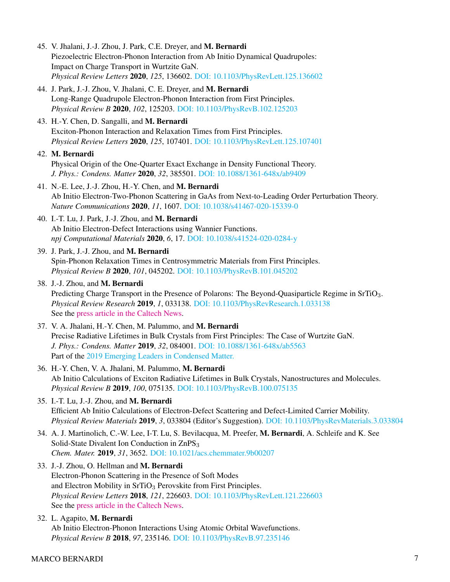- 45. V. Jhalani, J.-J. Zhou, J. Park, C.E. Dreyer, and M. Bernardi Piezoelectric Electron-Phonon Interaction from Ab Initio Dynamical Quadrupoles: Impact on Charge Transport in Wurtzite GaN. *Physical Review Letters* 2020, *125*, 136602. [DOI: 10.1103/PhysRevLett.125.136602](https://journals.aps.org/prl/abstract/10.1103/PhysRevLett.125.136602)
- 44. J. Park, J.-J. Zhou, V. Jhalani, C. E. Dreyer, and M. Bernardi Long-Range Quadrupole Electron-Phonon Interaction from First Principles. *Physical Review B* 2020, *102*, 125203. [DOI: 10.1103/PhysRevB.102.125203](https://journals.aps.org/prb/abstract/10.1103/PhysRevB.102.125203)
- 43. H.-Y. Chen, D. Sangalli, and M. Bernardi Exciton-Phonon Interaction and Relaxation Times from First Principles. *Physical Review Letters* 2020, *125*, 107401. [DOI: 10.1103/PhysRevLett.125.107401](https://journals.aps.org/prl/abstract/10.1103/PhysRevLett.125.107401)

# 42. M. Bernardi

Physical Origin of the One-Quarter Exact Exchange in Density Functional Theory. *J. Phys.: Condens. Matter* 2020, *32*, 385501. [DOI: 10.1088/1361-648x/ab9409](https://iopscience.iop.org/article/10.1088/1361-648X/ab9409)

- 41. N.-E. Lee, J.-J. Zhou, H.-Y. Chen, and M. Bernardi Ab Initio Electron-Two-Phonon Scattering in GaAs from Next-to-Leading Order Perturbation Theory. *Nature Communications* 2020, *11*, 1607. [DOI: 10.1038/s41467-020-15339-0](https://www.nature.com/articles/s41467-020-15339-0)
- 40. I.-T. Lu, J. Park, J.-J. Zhou, and M. Bernardi Ab Initio Electron-Defect Interactions using Wannier Functions. *npj Computational Materials* 2020, *6*, 17. [DOI: 10.1038/s41524-020-0284-y](https://www.nature.com/articles/s41524-020-0284-y)
- 39. J. Park, J.-J. Zhou, and M. Bernardi Spin-Phonon Relaxation Times in Centrosymmetric Materials from First Principles. *Physical Review B* 2020, *101*, 045202. [DOI: 10.1103/PhysRevB.101.045202](https://journals.aps.org/prb/abstract/10.1103/PhysRevB.101.045202)
- 38. J.-J. Zhou, and M. Bernardi Predicting Charge Transport in the Presence of Polarons: The Beyond-Quasiparticle Regime in SrTiO3. *Physical Review Research* 2019, *1*, 033138. [DOI: 10.1103/PhysRevResearch.1.033138](https://journals.aps.org/prresearch/abstract/10.1103/PhysRevResearch.1.033138) See the [press article in the Caltech News.](https://www.caltech.edu/about/news/how-electrons-break-speed-limit)
- 37. V. A. Jhalani, H.-Y. Chen, M. Palummo, and M. Bernardi Precise Radiative Lifetimes in Bulk Crystals from First Principles: The Case of Wurtzite GaN. *J. Phys.: Condens. Matter* 2019, *32*, 084001. [DOI: 10.1088/1361-648x/ab5563](https://iopscience.iop.org/article/10.1088/1361-648X/ab5563) Part of the [2019 Emerging Leaders in Condensed Matter.](https://iopscience.iop.org/journal/0953-8984/page/EmergingLeaders2019)
- 36. H.-Y. Chen, V. A. Jhalani, M. Palummo, M. Bernardi Ab Initio Calculations of Exciton Radiative Lifetimes in Bulk Crystals, Nanostructures and Molecules. *Physical Review B* 2019, *100*, 075135. [DOI: 10.1103/PhysRevB.100.075135](https://journals.aps.org/prb/abstract/10.1103/PhysRevB.100.075135)
- 35. I.-T. Lu, J.-J. Zhou, and M. Bernardi Efficient Ab Initio Calculations of Electron-Defect Scattering and Defect-Limited Carrier Mobility. *Physical Review Materials* 2019, *3*, 033804 (Editor's Suggestion). [DOI: 10.1103/PhysRevMaterials.3.033804](https://journals.aps.org/prmaterials/abstract/10.1103/PhysRevMaterials.3.033804)
- 34. A. J. Martinolich, C.-W. Lee, I-T. Lu, S. Bevilacqua, M. Preefer, M. Bernardi, A. Schleife and K. See Solid-State Divalent Ion Conduction in  $\text{ZnPS}_3$ *Chem. Mater.* 2019, *31*, 3652. [DOI: 10.1021/acs.chemmater.9b00207](https://pubs.acs.org/doi/abs/10.1021/acs.chemmater.9b00207)
- 33. J.-J. Zhou, O. Hellman and M. Bernardi Electron-Phonon Scattering in the Presence of Soft Modes and Electron Mobility in SrTiO<sub>3</sub> Perovskite from First Principles. *Physical Review Letters* 2018, *121*, 226603. [DOI: 10.1103/PhysRevLett.121.226603](https://link.aps.org/doi/10.1103/PhysRevLett.121.226603) See the [press article in the Caltech News.](https://www.caltech.edu/about/news/how-electrons-break-speed-limit)
- 32. L. Agapito, M. Bernardi Ab Initio Electron-Phonon Interactions Using Atomic Orbital Wavefunctions. *Physical Review B* 2018, *97*, 235146. [DOI: 10.1103/PhysRevB.97.235146](https://link.aps.org/doi/10.1103/PhysRevB.97.235146)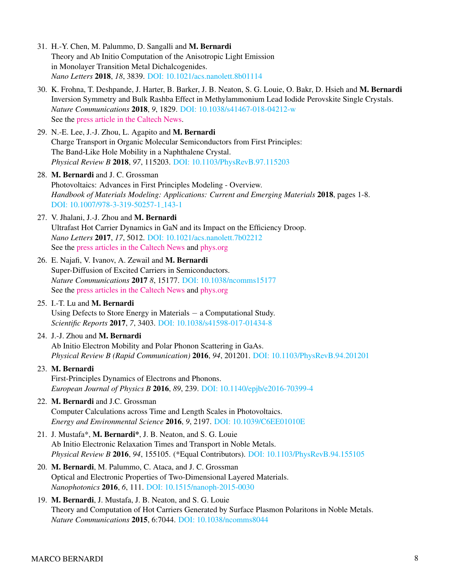- 31. H.-Y. Chen, M. Palummo, D. Sangalli and M. Bernardi Theory and Ab Initio Computation of the Anisotropic Light Emission in Monolayer Transition Metal Dichalcogenides. *Nano Letters* 2018, *18*, 3839. [DOI: 10.1021/acs.nanolett.8b01114](https://pubs.acs.org/doi/full/10.1021/acs.nanolett.8b01114)
- 30. K. Frohna, T. Deshpande, J. Harter, B. Barker, J. B. Neaton, S. G. Louie, O. Bakr, D. Hsieh and M. Bernardi Inversion Symmetry and Bulk Rashba Effect in Methylammonium Lead Iodide Perovskite Single Crystals. *Nature Communications* 2018, *9*, 1829. [DOI: 10.1038/s41467-018-04212-w](https://www.nature.com/articles/s41467-018-04212-w) See the [press article in the Caltech News.](http://www.caltech.edu/news/clues-solar-cell-efficiency-found-atomic-level-82586)
- 29. N.-E. Lee, J.-J. Zhou, L. Agapito and M. Bernardi Charge Transport in Organic Molecular Semiconductors from First Principles: The Band-Like Hole Mobility in a Naphthalene Crystal. *Physical Review B* 2018, *97*, 115203. [DOI: 10.1103/PhysRevB.97.115203](https://link.aps.org/doi/10.1103/PhysRevB.97.115203)
- 28. M. Bernardi and J. C. Grossman Photovoltaics: Advances in First Principles Modeling - Overview. *Handbook of Materials Modeling: Applications: Current and Emerging Materials* 2018, pages 1-8. [DOI: 10.1007/978-3-319-50257-1](https://doi.org/10.1007/978-3-319-50257-1_143-1) 143-1
- 27. V. Jhalani, J.-J. Zhou and M. Bernardi Ultrafast Hot Carrier Dynamics in GaN and its Impact on the Efficiency Droop. *Nano Letters* 2017, *17*, 5012. [DOI: 10.1021/acs.nanolett.7b02212](http://dx.doi.org/10.1021/acs.nanolett.7b02212) See the [press articles in the Caltech News](http://www.caltech.edu/news/microscopic-origin-efficiency-droop-leds-80436) and [phys.org](https://phys.org/news/2017-11-microscopic-efficiency-droop.html)
- 26. E. Najafi, V. Ivanov, A. Zewail and M. Bernardi Super-Diffusion of Excited Carriers in Semiconductors. *Nature Communications* 2017 *8*, 15177. [DOI: 10.1038/ncomms15177](https://www.nature.com/articles/ncomms15177) See the [press articles in the Caltech News](http://www.caltech.edu/news/hot-electrons-move-faster-expected-78694) and [phys.org](https://phys.org/news/2017-06-door-solid-state-devices-electrons.html)
- 25. I.-T. Lu and M. Bernardi Using Defects to Store Energy in Materials − a Computational Study. *Scientific Reports* 2017, *7*, 3403. [DOI: 10.1038/s41598-017-01434-8](https://www.nature.com/articles/s41598-017-01434-8)
- 24. J.-J. Zhou and M. Bernardi Ab Initio Electron Mobility and Polar Phonon Scattering in GaAs. *Physical Review B (Rapid Communication)* 2016, *94*, 201201. [DOI: 10.1103/PhysRevB.94.201201](https://link.aps.org/doi/10.1103/PhysRevB.94.201201)
- 23. M. Bernardi First-Principles Dynamics of Electrons and Phonons. *European Journal of Physics B* 2016, *89*, 239. [DOI: 10.1140/epjb/e2016-70399-4](https://doi.org/10.1140/epjb/e2016-70399-4)
- 22. M. Bernardi and J.C. Grossman Computer Calculations across Time and Length Scales in Photovoltaics. *Energy and Environmental Science* 2016, *9*, 2197. [DOI: 10.1039/C6EE01010E](http://dx.doi.org/10.1039/C6EE01010E)
- 21. J. Mustafa\*, M. Bernardi\*, J. B. Neaton, and S. G. Louie Ab Initio Electronic Relaxation Times and Transport in Noble Metals. *Physical Review B* 2016, *94*, 155105. (\*Equal Contributors). [DOI: 10.1103/PhysRevB.94.155105](https://link.aps.org/doi/10.1103/PhysRevB.94.155105)
- 20. M. Bernardi, M. Palummo, C. Ataca, and J. C. Grossman Optical and Electronic Properties of Two-Dimensional Layered Materials. *Nanophotonics* 2016, *6*, 111. [DOI: 10.1515/nanoph-2015-0030](https://doi.org/10.1515/nanoph-2015-0030)
- 19. M. Bernardi, J. Mustafa, J. B. Neaton, and S. G. Louie Theory and Computation of Hot Carriers Generated by Surface Plasmon Polaritons in Noble Metals. *Nature Communications* 2015, 6:7044. [DOI: 10.1038/ncomms8044](https://www.nature.com/articles/ncomms8044)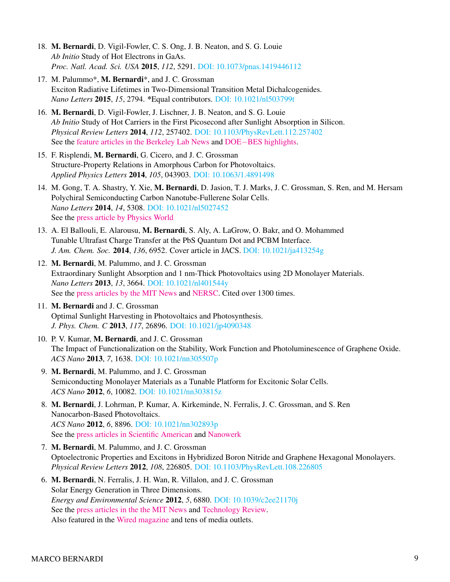- 18. M. Bernardi, D. Vigil-Fowler, C. S. Ong, J. B. Neaton, and S. G. Louie *Ab Initio* Study of Hot Electrons in GaAs. *Proc. Natl. Acad. Sci. USA* 2015, *112*, 5291. [DOI: 10.1073/pnas.1419446112](http://www.pnas.org/content/112/17/5291.abstract)
- 17. M. Palummo\*, M. Bernardi\*, and J. C. Grossman Exciton Radiative Lifetimes in Two-Dimensional Transition Metal Dichalcogenides. *Nano Letters* 2015, *15*, 2794. \*Equal contributors. [DOI: 10.1021/nl503799t](http://dx.doi.org/10.1021/nl503799t)
- 16. M. Bernardi, D. Vigil-Fowler, J. Lischner, J. B. Neaton, and S. G. Louie *Ab Initio* Study of Hot Carriers in the First Picosecond after Sunlight Absorption in Silicon. *Physical Review Letters* 2014, *112*, 257402. [DOI: 10.1103/PhysRevLett.112.257402](https://link.aps.org/doi/10.1103/PhysRevLett.112.257402) See the [feature articles in the Berkeley Lab News](http://newscenter.lbl.gov/2014/07/17/first-ab-initio-method-for-characterizing-hot-carriers/) and DOE−[BES highlights.](https://science.energy.gov/ascr/highlights/2016/bes-2016-06-n/)
- 15. F. Risplendi, M. Bernardi, G. Cicero, and J. C. Grossman Structure-Property Relations in Amorphous Carbon for Photovoltaics. *Applied Physics Letters* 2014, *105*, 043903. [DOI: 10.1063/1.4891498](http://dx.doi.org/10.1063/1.4891498)
- 14. M. Gong, T. A. Shastry, Y. Xie, M. Bernardi, D. Jasion, T. J. Marks, J. C. Grossman, S. Ren, and M. Hersam Polychiral Semiconducting Carbon Nanotube-Fullerene Solar Cells. *Nano Letters* 2014, *14*, 5308. [DOI: 10.1021/nl5027452](http://dx.doi.org/10.1021/nl5027452) See the [press article by Physics World](https://physicsworld.com/a/making-better-solar-cells-with-polychiral-carbon-nanotubes/)
- 13. A. El Ballouli, E. Alarousu, M. Bernardi, S. Aly, A. LaGrow, O. Bakr, and O. Mohammed Tunable Ultrafast Charge Transfer at the PbS Quantum Dot and PCBM Interface. *J. Am. Chem. Soc.* 2014, *136*, 6952. Cover article in JACS. [DOI: 10.1021/ja413254g](http://dx.doi.org/10.1021/ja413254g)
- 12. M. Bernardi, M. Palummo, and J. C. Grossman Extraordinary Sunlight Absorption and 1 nm-Thick Photovoltaics using 2D Monolayer Materials. *Nano Letters* 2013, *13*, 3664. [DOI: 10.1021/nl401544y](http://dx.doi.org/10.1021/nl401544y) See the [press articles by the MIT News](http://news.mit.edu/2013/thinner-solar-panels-0626) and [NERSC.](http://www.nersc.gov/news-publications/nersc-news/science-news/2013/2d-monolayers-could-yield-thinnest-solar-cells-ever/) Cited over 1300 times.
- 11. M. Bernardi and J. C. Grossman Optimal Sunlight Harvesting in Photovoltaics and Photosynthesis. *J. Phys. Chem. C* 2013, *117*, 26896. [DOI: 10.1021/jp4090348](http://dx.doi.org/10.1021/jp4090348)
- 10. P. V. Kumar, M. Bernardi, and J. C. Grossman The Impact of Functionalization on the Stability, Work Function and Photoluminescence of Graphene Oxide. *ACS Nano* 2013, *7*, 1638. [DOI: 10.1021/nn305507p](http://dx.doi.org/10.1021/nn305507p)
- 9. M. Bernardi, M. Palummo, and J. C. Grossman Semiconducting Monolayer Materials as a Tunable Platform for Excitonic Solar Cells. *ACS Nano* 2012, *6*, 10082. [DOI: 10.1021/nn303815z](http://dx.doi.org/10.1021/nn303815z)
- 8. M. Bernardi, J. Lohrman, P. Kumar, A. Kirkeminde, N. Ferralis, J. C. Grossman, and S. Ren Nanocarbon-Based Photovoltaics. *ACS Nano* 2012, *6*, 8896. [DOI: 10.1021/nn302893p](http://dx.doi.org/10.1021/nn302893p) See the [press articles in Scientific American](https://www.scientificamerican.com/article/carbon-emerges-as-new-solar-power-material/) and [Nanowerk](https://www.nanowerk.com/spotlight/spotid=26834.php)
- 7. M. Bernardi, M. Palummo, and J. C. Grossman Optoelectronic Properties and Excitons in Hybridized Boron Nitride and Graphene Hexagonal Monolayers. *Physical Review Letters* 2012, *108*, 226805. [DOI: 10.1103/PhysRevLett.108.226805](https://link.aps.org/doi/10.1103/PhysRevLett.108.226805)
- 6. M. Bernardi, N. Ferralis, J. H. Wan, R. Villalon, and J. C. Grossman Solar Energy Generation in Three Dimensions. *Energy and Environmental Science* 2012, *5*, 6880. [DOI: 10.1039/c2ee21170j](http://dx.doi.org/10.1039/C2EE21170J) See the [press articles in the the MIT News](http://news.mit.edu/2012/three-dimensional-solar-energy-0327) and [Technology Review.](https://www.technologyreview.com/s/426381/how-3-d-photovoltaics-could-revolutionize-solar-power/) Also featured in the [Wired magazine](https://www.wired.co.uk/article/solar-cell-towers) and tens of media outlets.